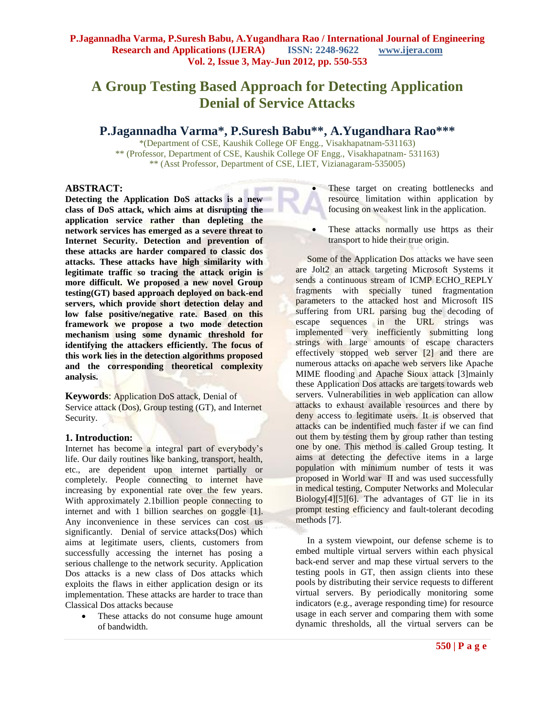# **A Group Testing Based Approach for Detecting Application Denial of Service Attacks**

# **P.Jagannadha Varma\*, P.Suresh Babu\*\*, A.Yugandhara Rao\*\*\***

\*(Department of CSE, Kaushik College OF Engg., Visakhapatnam-531163) \*\* (Professor, Department of CSE, Kaushik College OF Engg., Visakhapatnam- 531163) \*\* (Asst Professor, Department of CSE, LIET, Vizianagaram-535005)

#### **ABSTRACT:**

**Detecting the Application DoS attacks is a new class of DoS attack, which aims at disrupting the application service rather than depleting the network services has emerged as a severe threat to Internet Security. Detection and prevention of these attacks are harder compared to classic dos attacks. These attacks have high similarity with legitimate traffic so tracing the attack origin is more difficult. We proposed a new novel Group testing(GT) based approach deployed on back-end servers, which provide short detection delay and low false positive/negative rate. Based on this framework we propose a two mode detection mechanism using some dynamic threshold for identifying the attackers efficiently. The focus of this work lies in the detection algorithms proposed and the corresponding theoretical complexity analysis.**

**Keywords**: Application DoS attack, Denial of Service attack (Dos), Group testing (GT), and Internet Security.

#### **1. Introduction:**

Internet has become a integral part of everybody's life. Our daily routines like banking, transport, health, etc., are dependent upon internet partially or completely. People connecting to internet have increasing by exponential rate over the few years. With approximately 2.1billion people connecting to internet and with 1 billion searches on goggle [1]. Any inconvenience in these services can cost us significantly. Denial of service attacks(Dos) which aims at legitimate users, clients, customers from successfully accessing the internet has posing a serious challenge to the network security. Application Dos attacks is a new class of Dos attacks which exploits the flaws in either application design or its implementation. These attacks are harder to trace than Classical Dos attacks because

• These attacks do not consume huge amount of bandwidth.

- These target on creating bottlenecks and resource limitation within application by focusing on weakest link in the application.
- These attacks normally use https as their transport to hide their true origin.

 Some of the Application Dos attacks we have seen are Jolt2 an attack targeting Microsoft Systems it sends a continuous stream of ICMP ECHO\_REPLY fragments with specially tuned fragmentation parameters to the attacked host and Microsoft IIS suffering from URL parsing bug the decoding of escape sequences in the URL strings was implemented very inefficiently submitting long strings with large amounts of escape characters effectively stopped web server [2] and there are numerous attacks on apache web servers like Apache MIME flooding and Apache Sioux attack [3]mainly these Application Dos attacks are targets towards web servers. Vulnerabilities in web application can allow attacks to exhaust available resources and there by deny access to legitimate users. It is observed that attacks can be indentified much faster if we can find out them by testing them by group rather than testing one by one. This method is called Group testing. It aims at detecting the defective items in a large population with minimum number of tests it was proposed in World war II and was used successfully in medical testing, Computer Networks and Molecular Biology[4][5][6]. The advantages of GT lie in its prompt testing efficiency and fault-tolerant decoding methods [7].

 In a system viewpoint, our defense scheme is to embed multiple virtual servers within each physical back-end server and map these virtual servers to the testing pools in GT, then assign clients into these pools by distributing their service requests to different virtual servers. By periodically monitoring some indicators (e.g., average responding time) for resource usage in each server and comparing them with some dynamic thresholds, all the virtual servers can be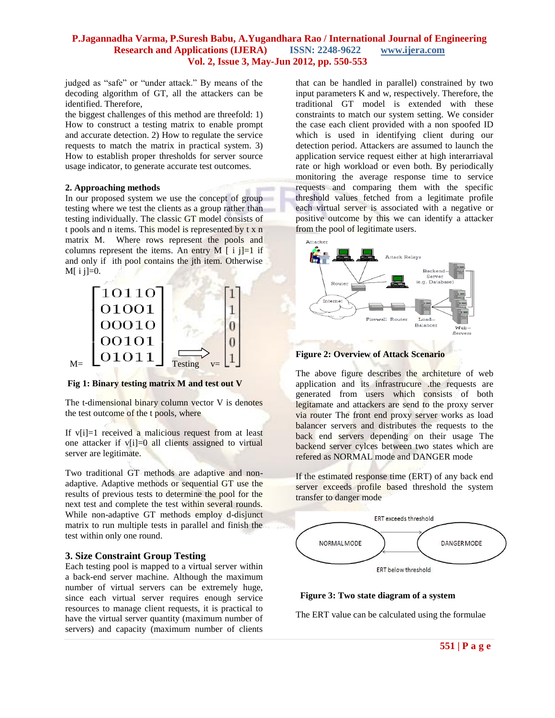judged as "safe" or "under attack." By means of the decoding algorithm of GT, all the attackers can be identified. Therefore,

the biggest challenges of this method are threefold: 1) How to construct a testing matrix to enable prompt and accurate detection. 2) How to regulate the service requests to match the matrix in practical system. 3) How to establish proper thresholds for server source usage indicator, to generate accurate test outcomes.

#### **2. Approaching methods**

In our proposed system we use the concept of group testing where we test the clients as a group rather than testing individually. The classic GT model consists of t pools and n items. This model is represented by t x n matrix M. Where rows represent the pools and columns represent the items. An entry M  $[i]$  i j = 1 if and only if ith pool contains the jth item. Otherwise  $M[i] = 0.$ 



**Fig 1: Binary testing matrix M and test out V**

The t-dimensional binary column vector V is denotes the test outcome of the t pools, where

If  $v[i]=1$  received a malicious request from at least one attacker if v[i]=0 all clients assigned to virtual server are legitimate.

Two traditional GT methods are adaptive and nonadaptive. Adaptive methods or sequential GT use the results of previous tests to determine the pool for the next test and complete the test within several rounds. While non-adaptive GT methods employ d-disjunct matrix to run multiple tests in parallel and finish the test within only one round.

#### **3. Size Constraint Group Testing**

Each testing pool is mapped to a virtual server within a back-end server machine. Although the maximum number of virtual servers can be extremely huge, since each virtual server requires enough service resources to manage client requests, it is practical to have the virtual server quantity (maximum number of servers) and capacity (maximum number of clients

that can be handled in parallel) constrained by two input parameters K and w, respectively. Therefore, the traditional GT model is extended with these constraints to match our system setting. We consider the case each client provided with a non spoofed ID which is used in identifying client during our detection period. Attackers are assumed to launch the application service request either at high interarriaval rate or high workload or even both. By periodically monitoring the average response time to service requests and comparing them with the specific threshold values fetched from a legitimate profile each virtual server is associated with a negative or positive outcome by this we can identify a attacker from the pool of legitimate users.



**Figure 2: Overview of Attack Scenario** 

The above figure describes the architeture of web application and its infrastrucure .the requests are generated from users which consists of both legitamate and attackers are send to the proxy server via router The front end proxy server works as load balancer servers and distributes the requests to the back end servers depending on their usage The backend server cylces between two states which are refered as NORMAL mode and DANGER mode

If the estimated response time (ERT) of any back end server exceeds profile based threshold the system transfer to danger mode



#### **Figure 3: Two state diagram of a system**

The ERT value can be calculated using the formulae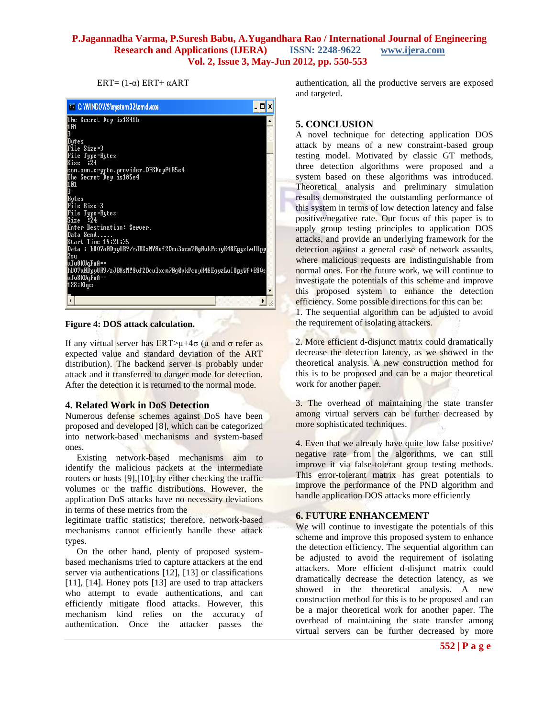$ERT=(1-\alpha) ERT+\alpha ART$ 



**Figure 4: DOS attack calculation.**

If any virtual server has  $ERT > μ + 4σ$  ( $μ$  and  $σ$  refer as expected value and standard deviation of the ART distribution). The backend server is probably under attack and it transferred to danger mode for detection. After the detection it is returned to the normal mode.

# **4. Related Work in DoS Detection**

Numerous defense schemes against DoS have been proposed and developed [8], which can be categorized into network-based mechanisms and system-based ones.

 Existing network-based mechanisms aim to identify the malicious packets at the intermediate routers or hosts [9],[10], by either checking the traffic volumes or the traffic distributions. However, the application DoS attacks have no necessary deviations in terms of these metrics from the

legitimate traffic statistics; therefore, network-based mechanisms cannot efficiently handle these attack types.

 On the other hand, plenty of proposed systembased mechanisms tried to capture attackers at the end server via authentications [12], [13] or classifications [11], [14]. Honey pots [13] are used to trap attackers who attempt to evade authentications, and can efficiently mitigate flood attacks. However, this mechanism kind relies on the accuracy of authentication. Once the attacker passes the

authentication, all the productive servers are exposed and targeted.

# **5. CONCLUSION**

A novel technique for detecting application DOS attack by means of a new constraint-based group testing model. Motivated by classic GT methods, three detection algorithms were proposed and a system based on these algorithms was introduced. Theoretical analysis and preliminary simulation results demonstrated the outstanding performance of this system in terms of low detection latency and false positive/negative rate. Our focus of this paper is to apply group testing principles to application DOS attacks, and provide an underlying framework for the detection against a general case of network assaults, where malicious requests are indistinguishable from normal ones. For the future work, we will continue to investigate the potentials of this scheme and improve this proposed system to enhance the detection efficiency. Some possible directions for this can be:

1. The sequential algorithm can be adjusted to avoid the requirement of isolating attackers.

2. More efficient d-disjunct matrix could dramatically decrease the detection latency, as we showed in the theoretical analysis. A new construction method for this is to be proposed and can be a major theoretical work for another paper.

3. The overhead of maintaining the state transfer among virtual servers can be further decreased by more sophisticated techniques.

4. Even that we already have quite low false positive/ negative rate from the algorithms, we can still improve it via false-tolerant group testing methods. This error-tolerant matrix has great potentials to improve the performance of the PND algorithm and handle application DOS attacks more efficiently

# **6. FUTURE ENHANCEMENT**

We will continue to investigate the potentials of this scheme and improve this proposed system to enhance the detection efficiency. The sequential algorithm can be adjusted to avoid the requirement of isolating attackers. More efficient d-disjunct matrix could dramatically decrease the detection latency, as we showed in the theoretical analysis. A new construction method for this is to be proposed and can be a major theoretical work for another paper. The overhead of maintaining the state transfer among virtual servers can be further decreased by more